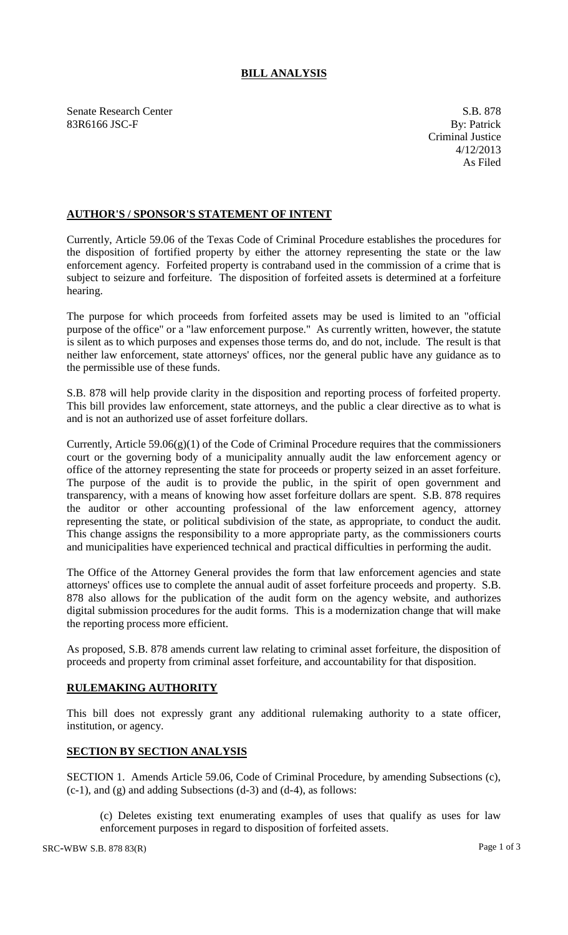## **BILL ANALYSIS**

Senate Research Center S.B. 878 83R6166 JSC-F By: Patrick

## **AUTHOR'S / SPONSOR'S STATEMENT OF INTENT**

Currently, Article 59.06 of the Texas Code of Criminal Procedure establishes the procedures for the disposition of fortified property by either the attorney representing the state or the law enforcement agency. Forfeited property is contraband used in the commission of a crime that is subject to seizure and forfeiture. The disposition of forfeited assets is determined at a forfeiture hearing.

The purpose for which proceeds from forfeited assets may be used is limited to an "official purpose of the office" or a "law enforcement purpose." As currently written, however, the statute is silent as to which purposes and expenses those terms do, and do not, include. The result is that neither law enforcement, state attorneys' offices, nor the general public have any guidance as to the permissible use of these funds.

S.B. 878 will help provide clarity in the disposition and reporting process of forfeited property. This bill provides law enforcement, state attorneys, and the public a clear directive as to what is and is not an authorized use of asset forfeiture dollars.

Currently, Article  $59.06(g)(1)$  of the Code of Criminal Procedure requires that the commissioners court or the governing body of a municipality annually audit the law enforcement agency or office of the attorney representing the state for proceeds or property seized in an asset forfeiture. The purpose of the audit is to provide the public, in the spirit of open government and transparency, with a means of knowing how asset forfeiture dollars are spent. S.B. 878 requires the auditor or other accounting professional of the law enforcement agency, attorney representing the state, or political subdivision of the state, as appropriate, to conduct the audit. This change assigns the responsibility to a more appropriate party, as the commissioners courts and municipalities have experienced technical and practical difficulties in performing the audit.

The Office of the Attorney General provides the form that law enforcement agencies and state attorneys' offices use to complete the annual audit of asset forfeiture proceeds and property. S.B. 878 also allows for the publication of the audit form on the agency website, and authorizes digital submission procedures for the audit forms. This is a modernization change that will make the reporting process more efficient.

As proposed, S.B. 878 amends current law relating to criminal asset forfeiture, the disposition of proceeds and property from criminal asset forfeiture, and accountability for that disposition.

## **RULEMAKING AUTHORITY**

This bill does not expressly grant any additional rulemaking authority to a state officer, institution, or agency.

## **SECTION BY SECTION ANALYSIS**

SECTION 1. Amends Article 59.06, Code of Criminal Procedure, by amending Subsections (c), (c-1), and (g) and adding Subsections (d-3) and (d-4), as follows:

(c) Deletes existing text enumerating examples of uses that qualify as uses for law enforcement purposes in regard to disposition of forfeited assets.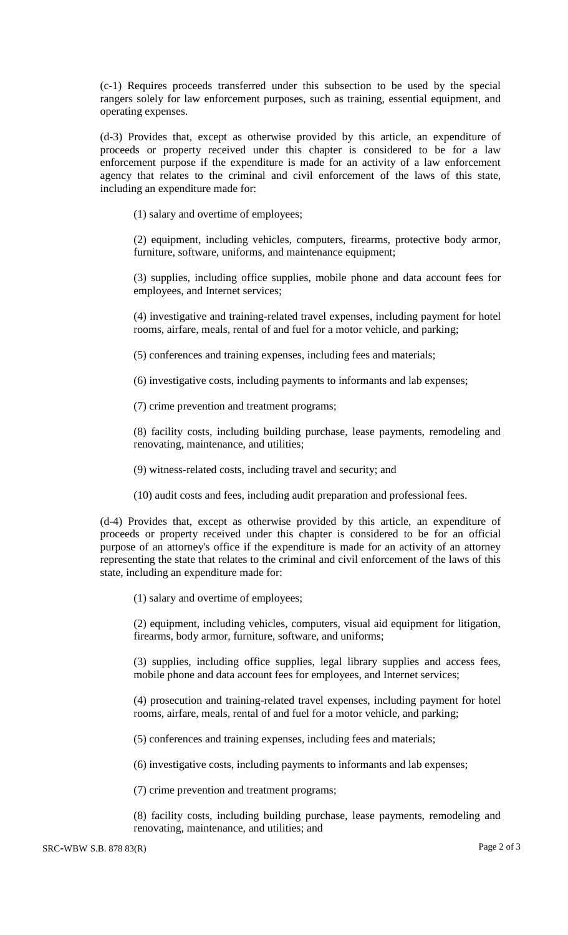(c-1) Requires proceeds transferred under this subsection to be used by the special rangers solely for law enforcement purposes, such as training, essential equipment, and operating expenses.

(d-3) Provides that, except as otherwise provided by this article, an expenditure of proceeds or property received under this chapter is considered to be for a law enforcement purpose if the expenditure is made for an activity of a law enforcement agency that relates to the criminal and civil enforcement of the laws of this state, including an expenditure made for:

(1) salary and overtime of employees;

(2) equipment, including vehicles, computers, firearms, protective body armor, furniture, software, uniforms, and maintenance equipment;

(3) supplies, including office supplies, mobile phone and data account fees for employees, and Internet services;

(4) investigative and training-related travel expenses, including payment for hotel rooms, airfare, meals, rental of and fuel for a motor vehicle, and parking;

(5) conferences and training expenses, including fees and materials;

(6) investigative costs, including payments to informants and lab expenses;

(7) crime prevention and treatment programs;

(8) facility costs, including building purchase, lease payments, remodeling and renovating, maintenance, and utilities;

(9) witness-related costs, including travel and security; and

(10) audit costs and fees, including audit preparation and professional fees.

(d-4) Provides that, except as otherwise provided by this article, an expenditure of proceeds or property received under this chapter is considered to be for an official purpose of an attorney's office if the expenditure is made for an activity of an attorney representing the state that relates to the criminal and civil enforcement of the laws of this state, including an expenditure made for:

(1) salary and overtime of employees;

(2) equipment, including vehicles, computers, visual aid equipment for litigation, firearms, body armor, furniture, software, and uniforms;

(3) supplies, including office supplies, legal library supplies and access fees, mobile phone and data account fees for employees, and Internet services;

(4) prosecution and training-related travel expenses, including payment for hotel rooms, airfare, meals, rental of and fuel for a motor vehicle, and parking;

(5) conferences and training expenses, including fees and materials;

(6) investigative costs, including payments to informants and lab expenses;

(7) crime prevention and treatment programs;

(8) facility costs, including building purchase, lease payments, remodeling and renovating, maintenance, and utilities; and